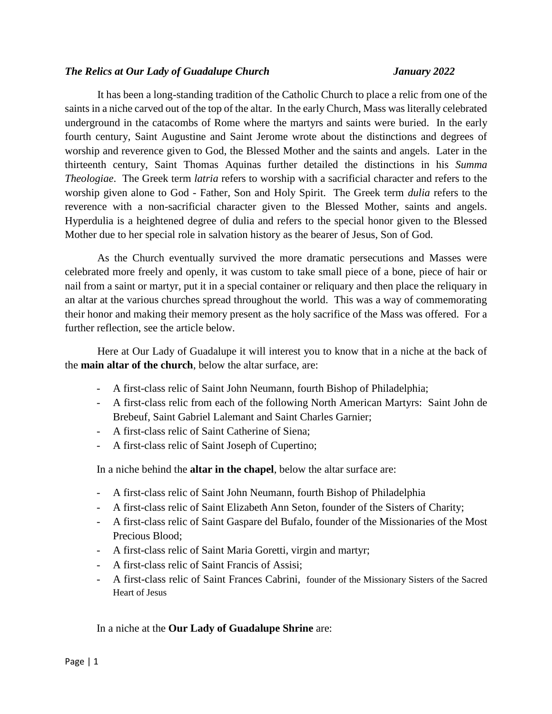#### *The Relics at Our Lady of Guadalupe Church January 2022*

It has been a long-standing tradition of the Catholic Church to place a relic from one of the saints in a niche carved out of the top of the altar. In the early Church, Mass was literally celebrated underground in the catacombs of Rome where the martyrs and saints were buried. In the early fourth century, Saint Augustine and Saint Jerome wrote about the distinctions and degrees of worship and reverence given to God, the Blessed Mother and the saints and angels. Later in the thirteenth century, Saint Thomas Aquinas further detailed the distinctions in his *Summa Theologiae*. The Greek term *latria* refers to worship with a sacrificial character and refers to the worship given alone to God - Father, Son and Holy Spirit. The Greek term *dulia* refers to the reverence with a non-sacrificial character given to the Blessed Mother, saints and angels. Hyperdulia is a heightened degree of dulia and refers to the special honor given to the Blessed Mother due to her special role in salvation history as the bearer of Jesus, Son of God.

As the Church eventually survived the more dramatic persecutions and Masses were celebrated more freely and openly, it was custom to take small piece of a bone, piece of hair or nail from a saint or martyr, put it in a special container or reliquary and then place the reliquary in an altar at the various churches spread throughout the world. This was a way of commemorating their honor and making their memory present as the holy sacrifice of the Mass was offered. For a further reflection, see the article below.

Here at Our Lady of Guadalupe it will interest you to know that in a niche at the back of the **main altar of the church**, below the altar surface, are:

- A first-class relic of Saint John Neumann, fourth Bishop of Philadelphia;
- A first-class relic from each of the following North American Martyrs: Saint John de Brebeuf, Saint Gabriel Lalemant and Saint Charles Garnier;
- A first-class relic of Saint Catherine of Siena;
- A first-class relic of Saint Joseph of Cupertino;

In a niche behind the **altar in the chapel**, below the altar surface are:

- A first-class relic of Saint John Neumann, fourth Bishop of Philadelphia
- A first-class relic of Saint Elizabeth Ann Seton, founder of the Sisters of Charity;
- A first-class relic of Saint Gaspare del Bufalo, founder of the Missionaries of the Most Precious Blood;
- A first-class relic of Saint Maria Goretti, virgin and martyr;
- A first-class relic of Saint Francis of Assisi;
- A first-class relic of Saint Frances Cabrini, founder of the Missionary Sisters of the Sacred Heart of Jesus

In a niche at the **Our Lady of Guadalupe Shrine** are: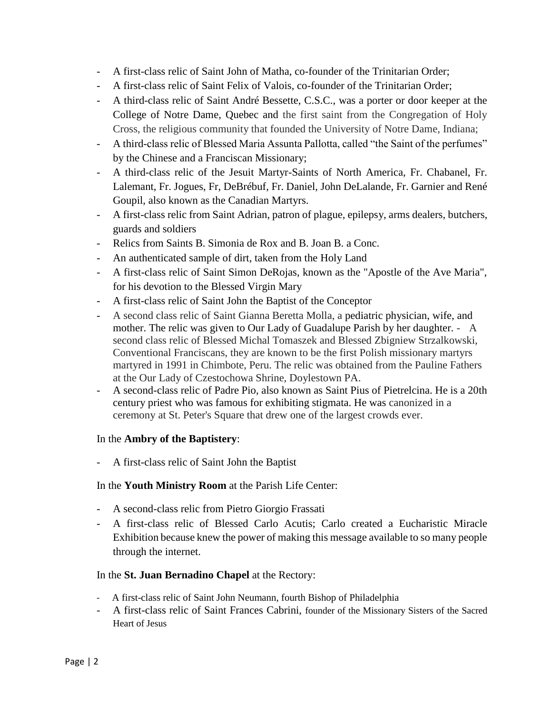- A first-class relic of Saint John of Matha, co-founder of the Trinitarian Order;
- A first-class relic of Saint Felix of Valois, co-founder of the Trinitarian Order;
- A third-class relic of Saint André Bessette, C.S.C., was a porter or door keeper at the College of Notre Dame, Quebec and the first saint from the Congregation of Holy Cross, the religious community that founded the University of Notre Dame, Indiana;
- A third-class relic of Blessed Maria Assunta Pallotta, called "the Saint of the perfumes" by the Chinese and a Franciscan Missionary;
- A third-class relic of the Jesuit Martyr-Saints of North America, Fr. Chabanel, Fr. Lalemant, Fr. Jogues, Fr, DeBrébuf, Fr. Daniel, John DeLalande, Fr. Garnier and René Goupil, also known as the Canadian Martyrs.
- A first-class relic from Saint Adrian, patron of plague, epilepsy, arms dealers, butchers, guards and soldiers
- Relics from Saints B. Simonia de Rox and B. Joan B. a Conc.
- An authenticated sample of dirt, taken from the Holy Land
- A first-class relic of Saint Simon DeRojas, known as the "Apostle of the Ave Maria", for his devotion to the Blessed Virgin Mary
- A first-class relic of Saint John the Baptist of the Conceptor
- A second class relic of Saint Gianna Beretta Molla, a pediatric physician, wife, and mother. The relic was given to Our Lady of Guadalupe Parish by her daughter. - A second class relic of Blessed Michal Tomaszek and Blessed Zbigniew Strzalkowski, Conventional Franciscans, they are known to be the first Polish missionary martyrs martyred in 1991 in Chimbote, Peru. The relic was obtained from the Pauline Fathers at the Our Lady of Czestochowa Shrine, Doylestown PA.
- A second-class relic of Padre Pio, also known as Saint Pius of Pietrelcina. He is a 20th century priest who was famous for exhibiting stigmata. He was canonized in a ceremony at St. Peter's Square that drew one of the largest crowds ever.

## In the **Ambry of the Baptistery**:

- A first-class relic of Saint John the Baptist

## In the **Youth Ministry Room** at the Parish Life Center:

- A second-class relic from Pietro Giorgio Frassati
- A first-class relic of Blessed Carlo Acutis; Carlo created a Eucharistic Miracle Exhibition because knew the power of making this message available to so many people through the internet.

### In the **St. Juan Bernadino Chapel** at the Rectory:

- A first-class relic of Saint John Neumann, fourth Bishop of Philadelphia
- A first-class relic of Saint Frances Cabrini, founder of the Missionary Sisters of the Sacred Heart of Jesus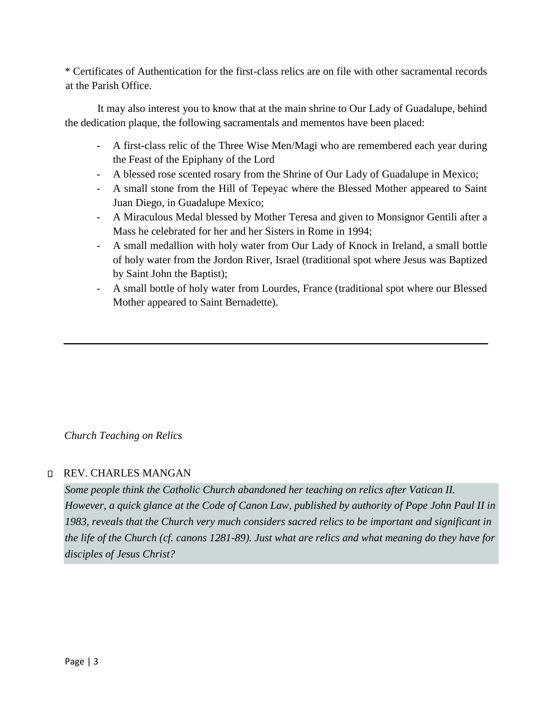\* Certificates of Authentication for the first-class relics are on file with other sacramental records at the Parish Office.

It may also interest you to know that at the main shrine to Our Lady of Guadalupe, behind the dedication plaque, the following sacramentals and mementos have been placed:

- A first-class relic of the Three Wise Men/Magi who are remembered each year during the Feast of the Epiphany of the Lord
- A blessed rose scented rosary from the Shrine of Our Lady of Guadalupe in Mexico;
- A small stone from the Hill of Tepeyac where the Blessed Mother appeared to Saint Juan Diego, in Guadalupe Mexico;
- A Miraculous Medal blessed by Mother Teresa and given to Monsignor Gentili after a Mass he celebrated for her and her Sisters in Rome in 1994;
- A small medallion with holy water from Our Lady of Knock in Ireland, a small bottle of holy water from the Jordon River, Israel (traditional spot where Jesus was Baptized by Saint John the Baptist);
- A small bottle of holy water from Lourdes, France (traditional spot where our Blessed Mother appeared to Saint Bernadette).

*Church Teaching on Relics* 

## REV. CHARLES MANGAN

*Some people think the Catholic Church abandoned her teaching on relics after Vatican II. However, a quick glance at the Code of Canon Law, published by authority of Pope John Paul II in 1983, reveals that the Church very much considers sacred relics to be important and significant in the life of the Church (cf. canons 1281-89). Just what are relics and what meaning do they have for disciples of Jesus Christ?*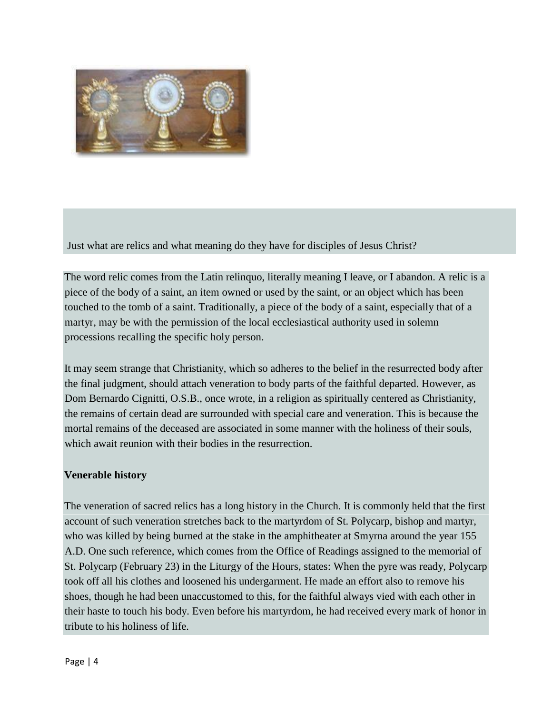

Just what are relics and what meaning do they have for disciples of Jesus Christ?

The word relic comes from the Latin relinquo, literally meaning I leave, or I abandon. A relic is a piece of the body of a saint, an item owned or used by the saint, or an object which has been touched to the tomb of a saint. Traditionally, a piece of the body of a saint, especially that of a martyr, may be with the permission of the local ecclesiastical authority used in solemn processions recalling the specific holy person.

It may seem strange that Christianity, which so adheres to the belief in the resurrected body after the final judgment, should attach veneration to body parts of the faithful departed. However, as Dom Bernardo Cignitti, O.S.B., once wrote, in a religion as spiritually centered as Christianity, the remains of certain dead are surrounded with special care and veneration. This is because the mortal remains of the deceased are associated in some manner with the holiness of their souls, which await reunion with their bodies in the resurrection.

## **Venerable history**

The veneration of sacred relics has a long history in the Church. It is commonly held that the first account of such veneration stretches back to the martyrdom of St. Polycarp, bishop and martyr, who was killed by being burned at the stake in the amphitheater at Smyrna around the year 155 A.D. One such reference, which comes from the Office of Readings assigned to the memorial of St. Polycarp (February 23) in the Liturgy of the Hours, states: When the pyre was ready, Polycarp took off all his clothes and loosened his undergarment. He made an effort also to remove his shoes, though he had been unaccustomed to this, for the faithful always vied with each other in their haste to touch his body. Even before his martyrdom, he had received every mark of honor in tribute to his holiness of life.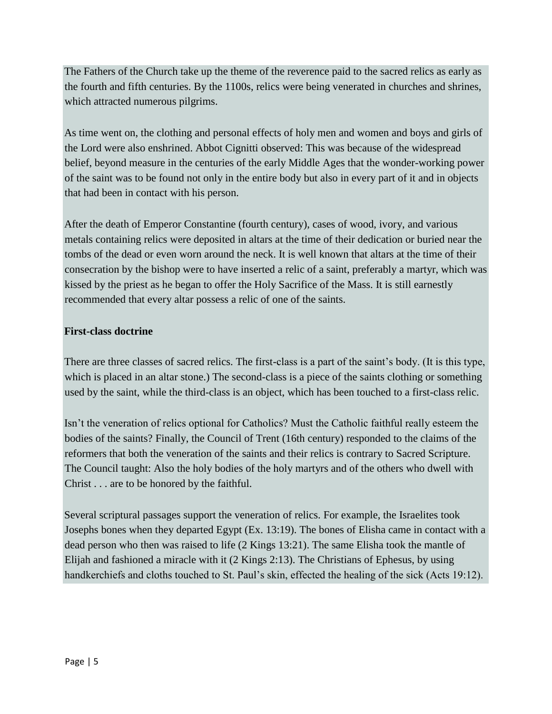The Fathers of the Church take up the theme of the reverence paid to the sacred relics as early as the fourth and fifth centuries. By the 1100s, relics were being venerated in churches and shrines, which attracted numerous pilgrims.

As time went on, the clothing and personal effects of holy men and women and boys and girls of the Lord were also enshrined. Abbot Cignitti observed: This was because of the widespread belief, beyond measure in the centuries of the early Middle Ages that the wonder-working power of the saint was to be found not only in the entire body but also in every part of it and in objects that had been in contact with his person.

After the death of Emperor Constantine (fourth century), cases of wood, ivory, and various metals containing relics were deposited in altars at the time of their dedication or buried near the tombs of the dead or even worn around the neck. It is well known that altars at the time of their consecration by the bishop were to have inserted a relic of a saint, preferably a martyr, which was kissed by the priest as he began to offer the Holy Sacrifice of the Mass. It is still earnestly recommended that every altar possess a relic of one of the saints.

# **First-class doctrine**

There are three classes of sacred relics. The first-class is a part of the saint's body. (It is this type, which is placed in an altar stone.) The second-class is a piece of the saints clothing or something used by the saint, while the third-class is an object, which has been touched to a first-class relic.

Isn't the veneration of relics optional for Catholics? Must the Catholic faithful really esteem the bodies of the saints? Finally, the Council of Trent (16th century) responded to the claims of the reformers that both the veneration of the saints and their relics is contrary to Sacred Scripture. The Council taught: Also the holy bodies of the holy martyrs and of the others who dwell with Christ . . . are to be honored by the faithful.

Several scriptural passages support the veneration of relics. For example, the Israelites took Josephs bones when they departed Egypt (Ex. 13:19). The bones of Elisha came in contact with a dead person who then was raised to life (2 Kings 13:21). The same Elisha took the mantle of Elijah and fashioned a miracle with it (2 Kings 2:13). The Christians of Ephesus, by using handkerchiefs and cloths touched to St. Paul's skin, effected the healing of the sick (Acts 19:12).